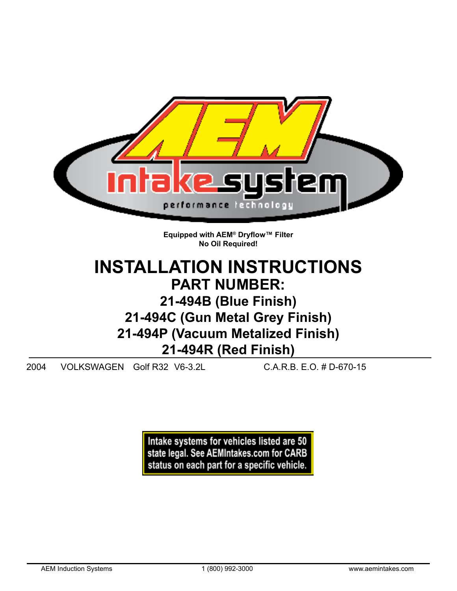

**No Oil Required!**

# **INSTALLATION INSTRUCTIONS PART NUMBER: 21-494B (Blue Finish) 21-494C (Gun Metal Grey Finish) 21-494P (Vacuum Metalized Finish) 21-494R (Red Finish)**

2004 VOLKSWAGEN Golf R32 V6-3.2L C.A.R.B. E.O. # D-670-15

Intake systems for vehicles listed are 50 state legal. See AEMIntakes.com for CARB status on each part for a specific vehicle.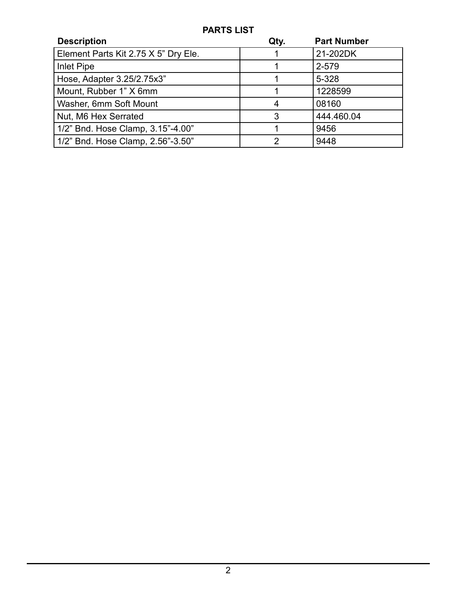## **PARTS LIST**

| <b>Description</b>                   | Qty. | <b>Part Number</b> |
|--------------------------------------|------|--------------------|
| Element Parts Kit 2.75 X 5" Dry Ele. |      | 21-202DK           |
| Inlet Pipe                           |      | 2-579              |
| Hose, Adapter 3.25/2.75x3"           |      | 5-328              |
| Mount, Rubber 1" X 6mm               |      | 1228599            |
| Washer, 6mm Soft Mount               | 4    | 08160              |
| Nut, M6 Hex Serrated                 | 3    | 444.460.04         |
| 1/2" Bnd. Hose Clamp, 3.15"-4.00"    |      | 9456               |
| 1/2" Bnd. Hose Clamp, 2.56"-3.50"    | ົ    | 9448               |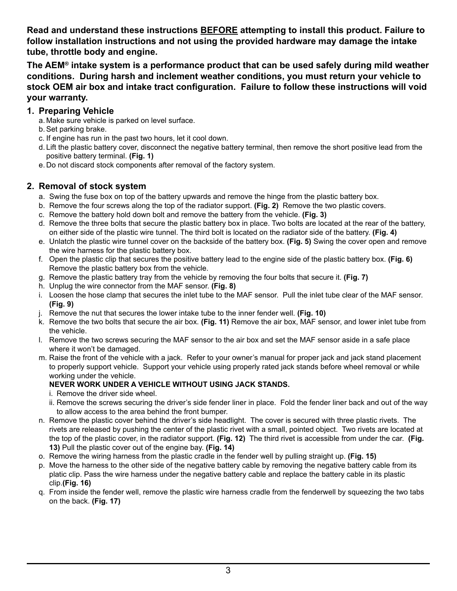**Read and understand these instructions BEFORE attempting to install this product. Failure to follow installation instructions and not using the provided hardware may damage the intake tube, throttle body and engine.**

**The AEM® intake system is a performance product that can be used safely during mild weather conditions. During harsh and inclement weather conditions, you must return your vehicle to stock OEM air box and intake tract configuration. Failure to follow these instructions will void your warranty.**

#### **1. Preparing Vehicle**

- a. Make sure vehicle is parked on level surface.
- b.Set parking brake.
- c. If engine has run in the past two hours, let it cool down.
- d. Lift the plastic battery cover, disconnect the negative battery terminal, then remove the short positive lead from the positive battery terminal. **(Fig. 1)**
- e. Do not discard stock components after removal of the factory system.

### **2. Removal of stock system**

- a. Swing the fuse box on top of the battery upwards and remove the hinge from the plastic battery box.
- b. Remove the four screws along the top of the radiator support. **(Fig. 2)** Remove the two plastic covers.
- c. Remove the battery hold down bolt and remove the battery from the vehicle. **(Fig. 3)**
- d. Remove the three bolts that secure the plastic battery box in place. Two bolts are located at the rear of the battery, on either side of the plastic wire tunnel. The third bolt is located on the radiator side of the battery. **(Fig. 4)**
- e. Unlatch the plastic wire tunnel cover on the backside of the battery box. **(Fig. 5)** Swing the cover open and remove the wire harness for the plastic battery box.
- f. Open the plastic clip that secures the positive battery lead to the engine side of the plastic battery box. **(Fig. 6)** Remove the plastic battery box from the vehicle.
- g. Remove the plastic battery tray from the vehicle by removing the four bolts that secure it. **(Fig. 7)**
- h. Unplug the wire connector from the MAF sensor. **(Fig. 8)**
- i. Loosen the hose clamp that secures the inlet tube to the MAF sensor. Pull the inlet tube clear of the MAF sensor. **(Fig. 9)**
- j. Remove the nut that secures the lower intake tube to the inner fender well. **(Fig. 10)**
- k. Remove the two bolts that secure the air box. **(Fig. 11)** Remove the air box, MAF sensor, and lower inlet tube from the vehicle.
- l. Remove the two screws securing the MAF sensor to the air box and set the MAF sensor aside in a safe place where it won't be damaged.
- m. Raise the front of the vehicle with a jack. Refer to your owner's manual for proper jack and jack stand placement to properly support vehicle. Support your vehicle using properly rated jack stands before wheel removal or while working under the vehicle.

#### **NEVER WORK UNDER A VEHICLE WITHOUT USING JACK STANDS.**

- i. Remove the driver side wheel.
- ii. Remove the screws securing the driver's side fender liner in place. Fold the fender liner back and out of the way to allow access to the area behind the front bumper.
- n. Remove the plastic cover behind the driver's side headlight. The cover is secured with three plastic rivets. The rivets are released by pushing the center of the plastic rivet with a small, pointed object. Two rivets are located at the top of the plastic cover, in the radiator support. **(Fig. 12)** The third rivet is accessible from under the car. **(Fig. 13)** Pull the plastic cover out of the engine bay. **(Fig. 14)**
- o. Remove the wiring harness from the plastic cradle in the fender well by pulling straight up. **(Fig. 15)**
- p. Move the harness to the other side of the negative battery cable by removing the negative battery cable from its platic clip. Pass the wire harness under the negative battery cable and replace the battery cable in its plastic clip.**(Fig. 16)**
- q. From inside the fender well, remove the plastic wire harness cradle from the fenderwell by squeezing the two tabs on the back. **(Fig. 17)**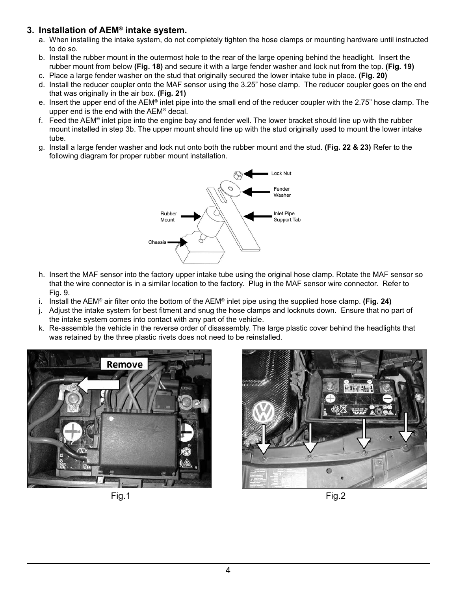### **3. Installation of AEM® intake system.**

- a. When installing the intake system, do not completely tighten the hose clamps or mounting hardware until instructed to do so.
- b. Install the rubber mount in the outermost hole to the rear of the large opening behind the headlight. Insert the rubber mount from below **(Fig. 18)** and secure it with a large fender washer and lock nut from the top. **(Fig. 19)**
- c. Place a large fender washer on the stud that originally secured the lower intake tube in place. **(Fig. 20)**
- d. Install the reducer coupler onto the MAF sensor using the 3.25" hose clamp. The reducer coupler goes on the end that was originally in the air box. **(Fig. 21)**
- e. Insert the upper end of the AEM® inlet pipe into the small end of the reducer coupler with the 2.75" hose clamp. The upper end is the end with the AEM® decal.
- f. Feed the AEM<sup>®</sup> inlet pipe into the engine bay and fender well. The lower bracket should line up with the rubber mount installed in step 3b. The upper mount should line up with the stud originally used to mount the lower intake tube.
- g. Install a large fender washer and lock nut onto both the rubber mount and the stud. **(Fig. 22 & 23)** Refer to the following diagram for proper rubber mount installation.



- h. Insert the MAF sensor into the factory upper intake tube using the original hose clamp. Rotate the MAF sensor so that the wire connector is in a similar location to the factory. Plug in the MAF sensor wire connector. Refer to Fig. 9.
- i. Install the AEM® air filter onto the bottom of the AEM® inlet pipe using the supplied hose clamp. **(Fig. 24)**
- j. Adjust the intake system for best fitment and snug the hose clamps and locknuts down. Ensure that no part of the intake system comes into contact with any part of the vehicle.
- k. Re-assemble the vehicle in the reverse order of disassembly. The large plastic cover behind the headlights that was retained by the three plastic rivets does not need to be reinstalled.





Fig.1 Fig.2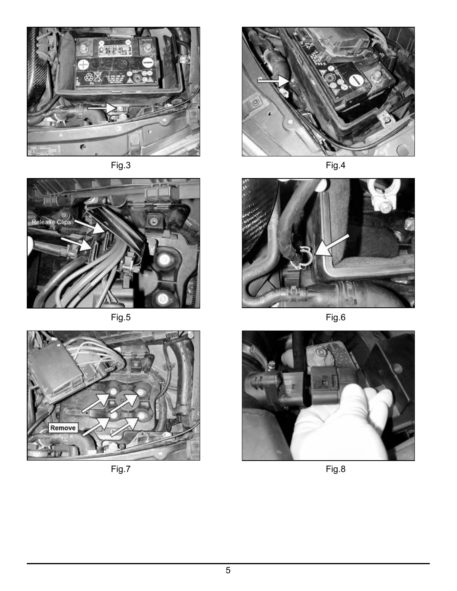









Fig.3 Fig.4



Fig.5 Fig.6



Fig.7 Fig.8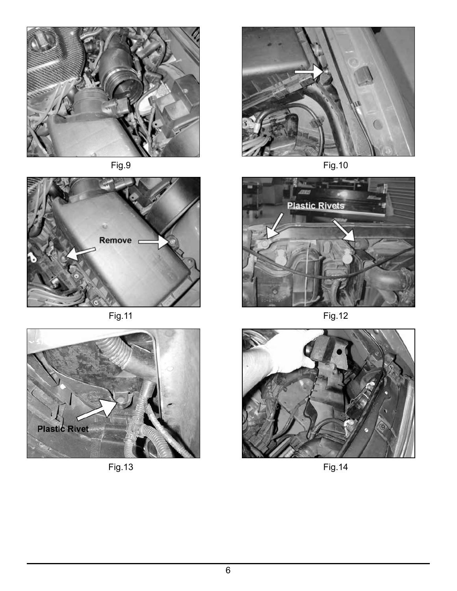





Fig.13 Fig.14





Fig.11 Fig.12

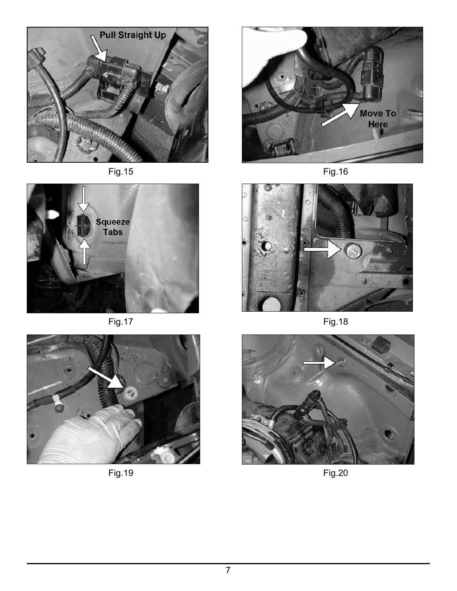









Fig.19 Fig.20

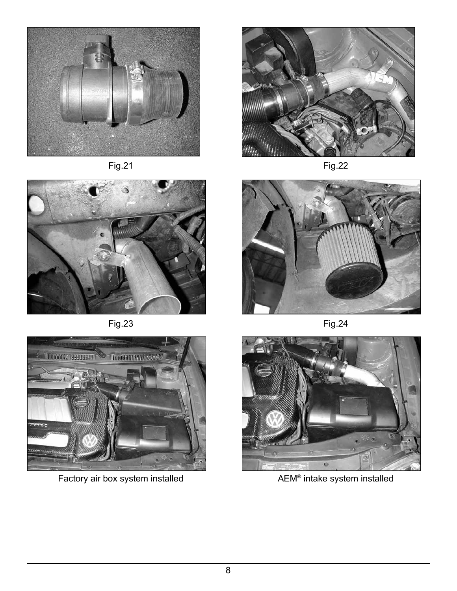









Factory air box system installed **AEM®** intake system installed